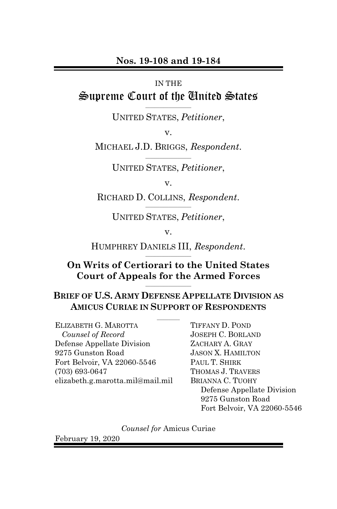#### **Nos. 19-108 and 19-184**

#### IN THE

#### Supreme Court of the United States **\_\_\_\_\_\_\_\_\_\_\_\_\_\_\_\_\_\_\_\_**

UNITED STATES, *Petitioner*,

v.

MICHAEL J.D. BRIGGS, *Respondent*. **\_\_\_\_\_\_\_\_\_\_\_\_\_\_\_\_\_\_\_\_**

UNITED STATES, *Petitioner*,

v.

RICHARD D. COLLINS, *Respondent*. **\_\_\_\_\_\_\_\_\_\_\_\_\_\_\_\_\_\_\_\_**

UNITED STATES, *Petitioner*,

v.

HUMPHREY DANIELS III, *Respondent*. **\_\_\_\_\_\_\_\_\_\_\_\_\_\_\_\_\_\_\_\_**

#### **On Writs of Certiorari to the United States Court of Appeals for the Armed Forces \_\_\_\_\_\_\_\_\_\_\_\_\_\_\_\_\_\_\_\_**

## **BRIEF OF U.S. ARMY DEFENSE APPELLATE DIVISION AS AMICUS CURIAE IN SUPPORT OF RESPONDENTS**

 $\frac{1}{2}$ 

ELIZABETH G. MAROTTA *Counsel of Record* Defense Appellate Division 9275 Gunston Road Fort Belvoir, VA 22060-5546 (703) 693-0647 elizabeth.g.marotta.mil@mail.mil

TIFFANY D. POND JOSEPH C. BORLAND ZACHARY A. GRAY JASON X. HAMILTON PAUL T. SHIRK THOMAS J. TRAVERS BRIANNA C. TUOHY Defense Appellate Division 9275 Gunston Road Fort Belvoir, VA 22060-5546

*Counsel for* Amicus Curiae

February 19, 2020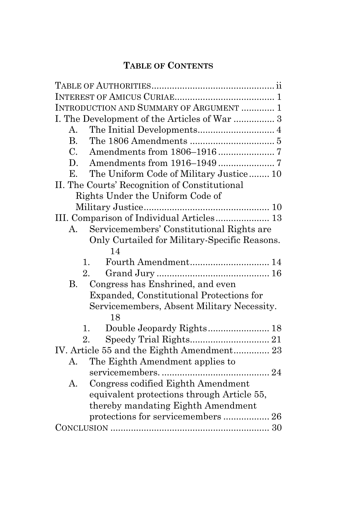# **TABLE OF CONTENTS**

| INTRODUCTION AND SUMMARY OF ARGUMENT  1         |
|-------------------------------------------------|
| I. The Development of the Articles of War  3    |
| $\mathsf{A}$                                    |
| <b>B.</b>                                       |
| $C_{\cdot}$                                     |
| D.                                              |
| The Uniform Code of Military Justice 10<br>Е.   |
| II. The Courts' Recognition of Constitutional   |
| Rights Under the Uniform Code of                |
|                                                 |
| III. Comparison of Individual Articles 13       |
| Servicemembers' Constitutional Rights are<br>A. |
| Only Curtailed for Military-Specific Reasons.   |
| 14                                              |
| 1.                                              |
| 2.                                              |
| Congress has Enshrined, and even<br><b>B.</b>   |
| Expanded, Constitutional Protections for        |
| Servicemembers, Absent Military Necessity.      |
| 18                                              |
| 1.                                              |
| 2.                                              |
| IV. Article 55 and the Eighth Amendment 23      |
| The Eighth Amendment applies to<br>А.           |
|                                                 |
| Congress codified Eighth Amendment<br>А.        |
| equivalent protections through Article 55,      |
| thereby mandating Eighth Amendment              |
| protections for servicemembers  26              |
|                                                 |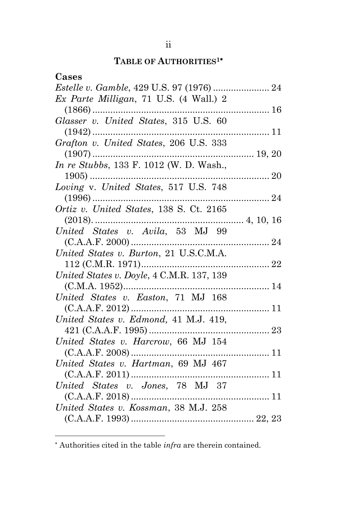# **TABLE OF AUTHORITIES1**

<span id="page-3-0"></span>

| Cases                                            |    |
|--------------------------------------------------|----|
|                                                  |    |
| Ex Parte Milligan, 71 U.S. $(4 \text{ Wall.}) 2$ |    |
|                                                  |    |
| Glasser v. United States, 315 U.S. 60            |    |
| $(1942)$                                         |    |
| Grafton v. United States, 206 U.S. 333           |    |
|                                                  |    |
| In re Stubbs, 133 F. 1012 (W. D. Wash.,          |    |
|                                                  |    |
| Loving v. United States, 517 U.S. 748            |    |
|                                                  |    |
| Ortiz v. United States, 138 S. Ct. 2165          |    |
|                                                  |    |
|                                                  |    |
|                                                  |    |
| United States v. Burton, 21 U.S.C.M.A.           |    |
|                                                  |    |
| United States v. Doyle, 4 C.M.R. 137, 139        |    |
| United States v. Easton, 71 MJ 168               |    |
|                                                  |    |
| United States v. Edmond, 41 M.J. 419,            |    |
|                                                  |    |
| United States v. Harcrow, 66 MJ 154              |    |
|                                                  |    |
| United States v. Hartman, 69 MJ 467              |    |
|                                                  |    |
| United States v. Jones, 78 MJ 37                 |    |
|                                                  | 11 |
| United States v. Kossman, 38 M.J. 258            |    |
|                                                  |    |

Authorities cited in the table *infra* are therein contained.

l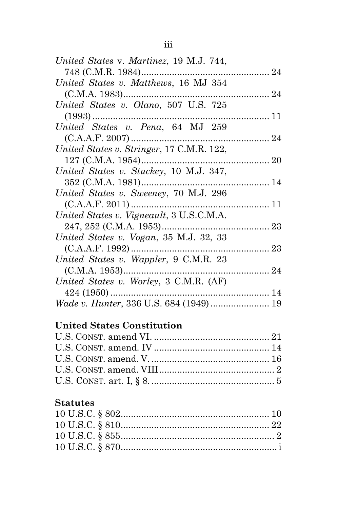| United States v. Martinez, 19 M.J. 744,   |  |
|-------------------------------------------|--|
| 748 (C.M.R. 1984)                         |  |
| United States v. Matthews, 16 MJ 354      |  |
| $(C.M.A. 1983)$                           |  |
| United States v. Olano, 507 U.S. 725      |  |
|                                           |  |
| United States v. Pena, 64 MJ 259          |  |
|                                           |  |
| United States v. Stringer, 17 C.M.R. 122, |  |
| $127$ (C.M.A. 1954)                       |  |
| United States v. Stuckey, 10 M.J. 347,    |  |
| 352 (C.M.A. 1981)<br>14                   |  |
| United States v. Sweeney, 70 M.J. 296     |  |
|                                           |  |
| United States v. Vigneault, 3 U.S.C.M.A.  |  |
|                                           |  |
| United States v. Vogan, 35 M.J. 32, 33    |  |
|                                           |  |
| United States v. Wappler, 9 C.M.R. 23     |  |
|                                           |  |
| United States v. Worley, 3 C.M.R. (AF)    |  |
| $424(1950)$                               |  |
| Wade v. Hunter, 336 U.S. 684 (1949)  19   |  |
|                                           |  |

# **United States Constitution**

# **Statutes**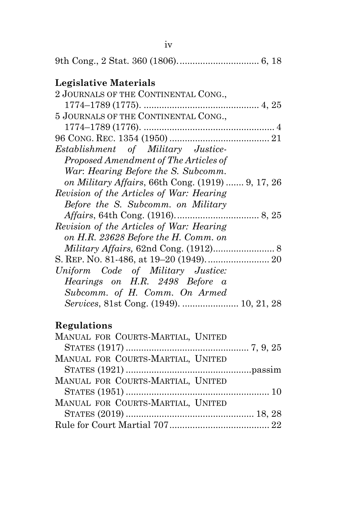| Legislative Materials                             |
|---------------------------------------------------|
| 2 JOURNALS OF THE CONTINENTAL CONG.,              |
|                                                   |
| 5 JOURNALS OF THE CONTINENTAL CONG.,              |
|                                                   |
|                                                   |
| Establishment of Military Justice-                |
| Proposed Amendment of The Articles of             |
| War: Hearing Before the S. Subcomm.               |
| on Military Affairs, 66th Cong. (1919)  9, 17, 26 |
| Revision of the Articles of War: Hearing          |
| Before the S. Subcomm. on Military                |
|                                                   |
| Revision of the Articles of War: Hearing          |
| on H.R. 23628 Before the H. Comm. on              |
|                                                   |
|                                                   |
| Uniform Code of Military Justice:                 |
| Hearings on H.R. 2498 Before a                    |
| Subcomm. of H. Comm. On Armed                     |
|                                                   |

# **Regulations**

| MANUAL FOR COURTS-MARTIAL, UNITED |  |
|-----------------------------------|--|
|                                   |  |
| MANUAL FOR COURTS-MARTIAL, UNITED |  |
|                                   |  |
| MANUAL FOR COURTS-MARTIAL, UNITED |  |
|                                   |  |
| MANUAL FOR COURTS-MARTIAL, UNITED |  |
|                                   |  |
|                                   |  |
|                                   |  |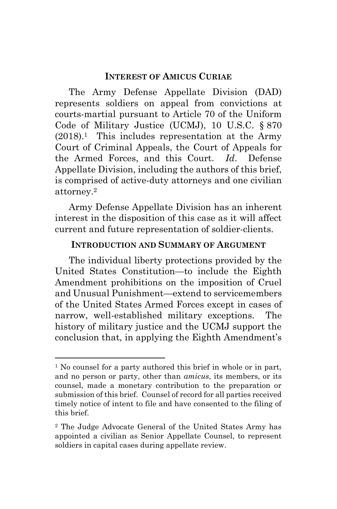#### **INTEREST OF AMICUS CURIAE**

<span id="page-7-0"></span>The Army Defense Appellate Division (DAD) represents soldiers on appeal from convictions at courts-martial pursuant to Article 70 of the Uniform Code of Military Justice (UCMJ), 10 U.S.C. § 870 (2018). <sup>1</sup> This includes representation at the Army Court of Criminal Appeals, the Court of Appeals for the Armed Forces, and this Court. *Id*. Defense Appellate Division, including the authors of this brief, is comprised of active-duty attorneys and one civilian attorney. 2

Army Defense Appellate Division has an inherent interest in the disposition of this case as it will affect current and future representation of soldier-clients.

#### **INTRODUCTION AND SUMMARY OF ARGUMENT**

<span id="page-7-1"></span>The individual liberty protections provided by the United States Constitution—to include the Eighth Amendment prohibitions on the imposition of Cruel and Unusual Punishment—extend to servicemembers of the United States Armed Forces except in cases of narrow, well-established military exceptions. The history of military justice and the UCMJ support the conclusion that, in applying the Eighth Amendment's

l

<sup>&</sup>lt;sup>1</sup> No counsel for a party authored this brief in whole or in part, and no person or party, other than *amicus*, its members, or its counsel, made a monetary contribution to the preparation or submission of this brief. Counsel of record for all parties received timely notice of intent to file and have consented to the filing of this brief.

<sup>2</sup> The Judge Advocate General of the United States Army has appointed a civilian as Senior Appellate Counsel, to represent soldiers in capital cases during appellate review.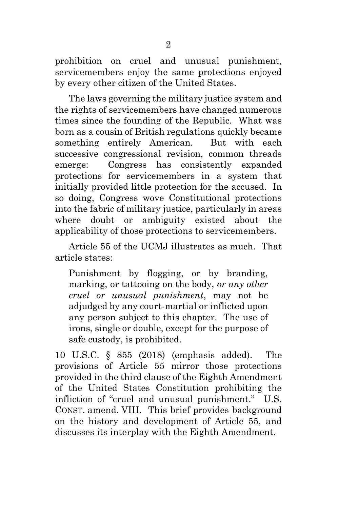prohibition on cruel and unusual punishment, servicemembers enjoy the same protections enjoyed by every other citizen of the United States.

The laws governing the military justice system and the rights of servicemembers have changed numerous times since the founding of the Republic. What was born as a cousin of British regulations quickly became something entirely American. But with each successive congressional revision, common threads emerge: Congress has consistently expanded protections for servicemembers in a system that initially provided little protection for the accused. In so doing, Congress wove Constitutional protections into the fabric of military justice, particularly in areas where doubt or ambiguity existed about the applicability of those protections to servicemembers.

Article 55 of the UCMJ illustrates as much. That article states:

Punishment by flogging, or by branding, marking, or tattooing on the body, *or any other cruel or unusual punishment*, may not be adjudged by any court-martial or inflicted upon any person subject to this chapter. The use of irons, single or double, except for the purpose of safe custody, is prohibited.

10 U.S.C. § 855 (2018) (emphasis added). The provisions of Article 55 mirror those protections provided in the third clause of the Eighth Amendment of the United States Constitution prohibiting the infliction of "cruel and unusual punishment." U.S. CONST. amend. VIII. This brief provides background on the history and development of Article 55, and discusses its interplay with the Eighth Amendment.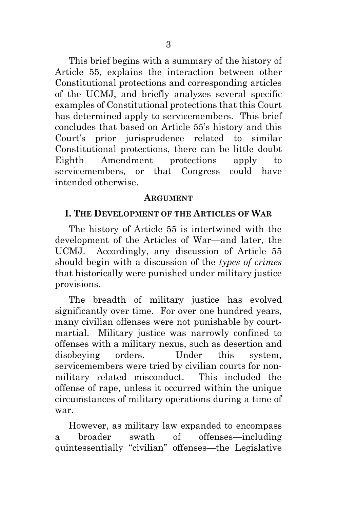This brief begins with a summary of the history of Article 55, explains the interaction between other Constitutional protections and corresponding articles of the UCMJ, and briefly analyzes several specific examples of Constitutional protections that this Court has determined apply to servicemembers. This brief concludes that based on Article 55's history and this Court's prior jurisprudence related to similar Constitutional protections, there can be little doubt Eighth Amendment protections apply to servicemembers, or that Congress could have intended otherwise.

#### **ARGUMENT**

#### <span id="page-9-0"></span>**I. THE DEVELOPMENT OF THE ARTICLES OF WAR**

The history of Article 55 is intertwined with the development of the Articles of War—and later, the UCMJ. Accordingly, any discussion of Article 55 should begin with a discussion of the *types of crimes* that historically were punished under military justice provisions.

The breadth of military justice has evolved significantly over time. For over one hundred years, many civilian offenses were not punishable by courtmartial. Military justice was narrowly confined to offenses with a military nexus, such as desertion and disobeying orders. Under this system, servicemembers were tried by civilian courts for nonmilitary related misconduct. This included the offense of rape, unless it occurred within the unique circumstances of military operations during a time of war.

However, as military law expanded to encompass a broader swath of offenses—including quintessentially "civilian" offenses—the Legislative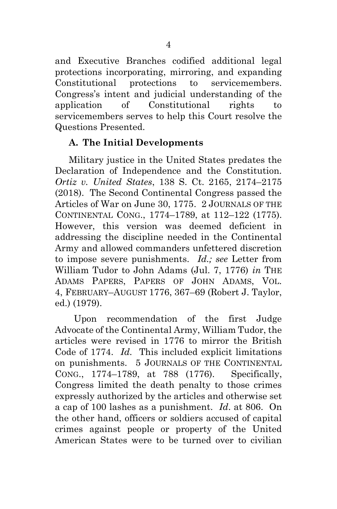and Executive Branches codified additional legal protections incorporating, mirroring, and expanding Constitutional protections to servicemembers. Congress's intent and judicial understanding of the application of Constitutional rights to servicemembers serves to help this Court resolve the Questions Presented.

## <span id="page-10-0"></span>**A. The Initial Developments**

Military justice in the United States predates the Declaration of Independence and the Constitution. *Ortiz v. United States*, 138 S. Ct. 2165, 2174–2175 (2018). The Second Continental Congress passed the Articles of War on June 30, 1775. 2 JOURNALS OF THE CONTINENTAL CONG., 1774–1789, at 112–122 (1775). However, this version was deemed deficient in addressing the discipline needed in the Continental Army and allowed commanders unfettered discretion to impose severe punishments. *Id.; see* Letter from William Tudor to John Adams (Jul. 7, 1776) *in* THE ADAMS PAPERS, PAPERS OF JOHN ADAMS, VOL. 4, FEBRUARY–AUGUST 1776, 367–69 (Robert J. Taylor, ed.) (1979).

Upon recommendation of the first Judge Advocate of the Continental Army, William Tudor, the articles were revised in 1776 to mirror the British Code of 1774. *Id.* This included explicit limitations on punishments. 5 JOURNALS OF THE CONTINENTAL CONG., 1774–1789, at 788 (1776). Specifically, Congress limited the death penalty to those crimes expressly authorized by the articles and otherwise set a cap of 100 lashes as a punishment. *Id*. at 806. On the other hand, officers or soldiers accused of capital crimes against people or property of the United American States were to be turned over to civilian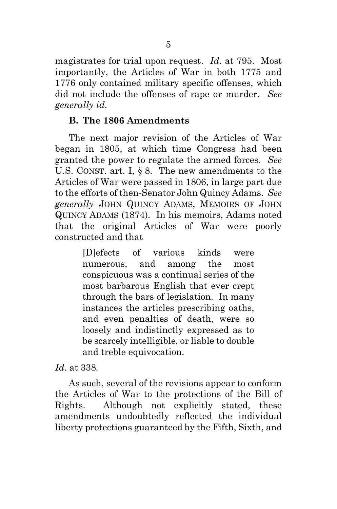magistrates for trial upon request. *Id*. at 795. Most importantly, the Articles of War in both 1775 and 1776 only contained military specific offenses, which did not include the offenses of rape or murder. *See generally id.*

## <span id="page-11-0"></span>**B. The 1806 Amendments**

The next major revision of the Articles of War began in 1805, at which time Congress had been granted the power to regulate the armed forces. *See*  U.S. CONST. art. I, § 8. The new amendments to the Articles of War were passed in 1806, in large part due to the efforts of then-Senator John Quincy Adams. *See generally* JOHN QUINCY ADAMS, MEMOIRS OF JOHN QUINCY ADAMS (1874). In his memoirs, Adams noted that the original Articles of War were poorly constructed and that

> [D]efects of various kinds were numerous, and among the most conspicuous was a continual series of the most barbarous English that ever crept through the bars of legislation. In many instances the articles prescribing oaths, and even penalties of death, were so loosely and indistinctly expressed as to be scarcely intelligible, or liable to double and treble equivocation.

*Id*. at 338*.* 

As such, several of the revisions appear to conform the Articles of War to the protections of the Bill of Rights. Although not explicitly stated, these amendments undoubtedly reflected the individual liberty protections guaranteed by the Fifth, Sixth, and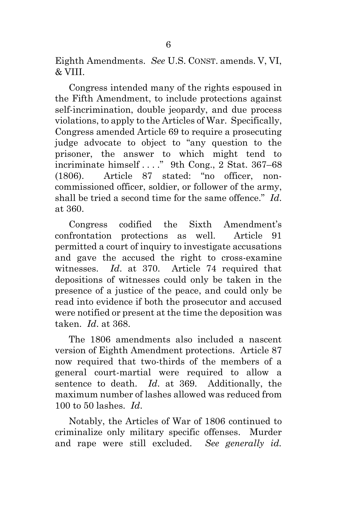Eighth Amendments. *See* U.S. CONST. amends. V, VI, & VIII.

Congress intended many of the rights espoused in the Fifth Amendment, to include protections against self-incrimination, double jeopardy, and due process violations, to apply to the Articles of War. Specifically, Congress amended Article 69 to require a prosecuting judge advocate to object to "any question to the prisoner, the answer to which might tend to incriminate himself . . . ." 9th Cong., 2 Stat. 367–68 (1806). Article 87 stated: "no officer, noncommissioned officer, soldier, or follower of the army, shall be tried a second time for the same offence." *Id*. at 360.

Congress codified the Sixth Amendment's confrontation protections as well. Article 91 permitted a court of inquiry to investigate accusations and gave the accused the right to cross-examine witnesses. *Id*. at 370. Article 74 required that depositions of witnesses could only be taken in the presence of a justice of the peace, and could only be read into evidence if both the prosecutor and accused were notified or present at the time the deposition was taken. *Id*. at 368.

The 1806 amendments also included a nascent version of Eighth Amendment protections. Article 87 now required that two-thirds of the members of a general court-martial were required to allow a sentence to death. *Id*. at 369. Additionally, the maximum number of lashes allowed was reduced from 100 to 50 lashes. *Id*.

Notably, the Articles of War of 1806 continued to criminalize only military specific offenses. Murder and rape were still excluded. *See generally id.*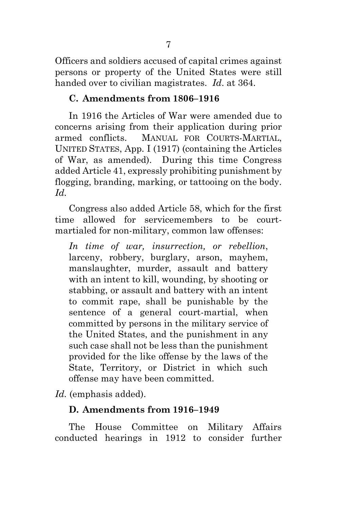Officers and soldiers accused of capital crimes against persons or property of the United States were still handed over to civilian magistrates. *Id*. at 364.

#### <span id="page-13-0"></span>**C. Amendments from 1806–1916**

In 1916 the Articles of War were amended due to concerns arising from their application during prior armed conflicts. MANUAL FOR COURTS-MARTIAL, UNITED STATES, App. I (1917) (containing the Articles of War, as amended). During this time Congress added Article 41, expressly prohibiting punishment by flogging, branding, marking, or tattooing on the body. *Id.*

Congress also added Article 58, which for the first time allowed for servicemembers to be courtmartialed for non-military, common law offenses:

*In time of war, insurrection, or rebellion*, larceny, robbery, burglary, arson, mayhem, manslaughter, murder, assault and battery with an intent to kill, wounding, by shooting or stabbing, or assault and battery with an intent to commit rape, shall be punishable by the sentence of a general court-martial, when committed by persons in the military service of the United States, and the punishment in any such case shall not be less than the punishment provided for the like offense by the laws of the State, Territory, or District in which such offense may have been committed.

<span id="page-13-1"></span>*Id.* (emphasis added).

### **D. Amendments from 1916–1949**

The House Committee on Military Affairs conducted hearings in 1912 to consider further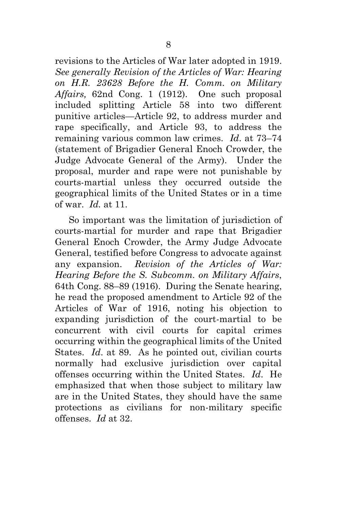revisions to the Articles of War later adopted in 1919. *See generally Revision of the Articles of War: Hearing on H.R. 23628 Before the H. Comm. on Military Affairs,* 62nd Cong. 1 (1912). One such proposal included splitting Article 58 into two different punitive articles—Article 92, to address murder and rape specifically, and Article 93, to address the remaining various common law crimes. *Id*. at 73–74 (statement of Brigadier General Enoch Crowder, the Judge Advocate General of the Army). Under the proposal, murder and rape were not punishable by courts-martial unless they occurred outside the geographical limits of the United States or in a time of war. *Id.* at 11.

So important was the limitation of jurisdiction of courts-martial for murder and rape that Brigadier General Enoch Crowder, the Army Judge Advocate General, testified before Congress to advocate against any expansion. *Revision of the Articles of War: Hearing Before the S. Subcomm. on Military Affairs*, 64th Cong. 88–89 (1916). During the Senate hearing, he read the proposed amendment to Article 92 of the Articles of War of 1916, noting his objection to expanding jurisdiction of the court-martial to be concurrent with civil courts for capital crimes occurring within the geographical limits of the United States. *Id*. at 89. As he pointed out, civilian courts normally had exclusive jurisdiction over capital offenses occurring within the United States. *Id*. He emphasized that when those subject to military law are in the United States, they should have the same protections as civilians for non-military specific offenses. *Id* at 32.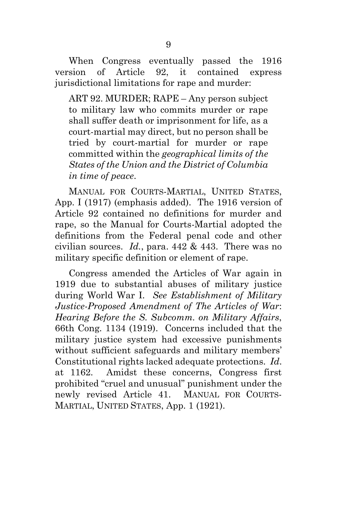When Congress eventually passed the 1916 version of Article 92, it contained express jurisdictional limitations for rape and murder:

ART 92. MURDER; RAPE – Any person subject to military law who commits murder or rape shall suffer death or imprisonment for life, as a court-martial may direct, but no person shall be tried by court-martial for murder or rape committed within the *geographical limits of the States of the Union and the District of Columbia in time of peace*.

MANUAL FOR COURTS-MARTIAL, UNITED STATES, App. I (1917) (emphasis added). The 1916 version of Article 92 contained no definitions for murder and rape, so the Manual for Courts-Martial adopted the definitions from the Federal penal code and other civilian sources. *Id.*, para. 442 & 443. There was no military specific definition or element of rape.

Congress amended the Articles of War again in 1919 due to substantial abuses of military justice during World War I. *See Establishment of Military Justice-Proposed Amendment of The Articles of War*: *Hearing Before the S. Subcomm. on Military Affairs*, 66th Cong. 1134 (1919). Concerns included that the military justice system had excessive punishments without sufficient safeguards and military members' Constitutional rights lacked adequate protections. *Id*. at 1162. Amidst these concerns, Congress first prohibited "cruel and unusual" punishment under the newly revised Article 41. MANUAL FOR COURTS-MARTIAL, UNITED STATES, App. 1 (1921).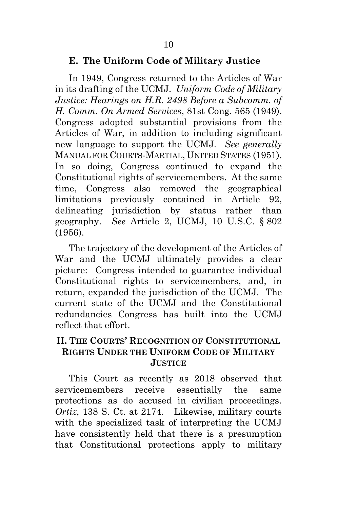#### <span id="page-16-0"></span>**E. The Uniform Code of Military Justice**

In 1949, Congress returned to the Articles of War in its drafting of the UCMJ. *Uniform Code of Military Justice: Hearings on H.R. 2498 Before a Subcomm. of H. Comm. On Armed Services*, 81st Cong. 565 (1949). Congress adopted substantial provisions from the Articles of War, in addition to including significant new language to support the UCMJ. *See generally*  MANUAL FOR COURTS-MARTIAL, UNITED STATES (1951). In so doing, Congress continued to expand the Constitutional rights of servicemembers. At the same time, Congress also removed the geographical limitations previously contained in Article 92, delineating jurisdiction by status rather than geography. *See* Article 2, UCMJ, 10 U.S.C. § 802 (1956).

The trajectory of the development of the Articles of War and the UCMJ ultimately provides a clear picture: Congress intended to guarantee individual Constitutional rights to servicemembers, and, in return, expanded the jurisdiction of the UCMJ. The current state of the UCMJ and the Constitutional redundancies Congress has built into the UCMJ reflect that effort.

## <span id="page-16-1"></span>**II. THE COURTS' RECOGNITION OF CONSTITUTIONAL RIGHTS UNDER THE UNIFORM CODE OF MILITARY JUSTICE**

This Court as recently as 2018 observed that servicemembers receive essentially the same protections as do accused in civilian proceedings. *Ortiz*, 138 S. Ct. at 2174. Likewise, military courts with the specialized task of interpreting the UCMJ have consistently held that there is a presumption that Constitutional protections apply to military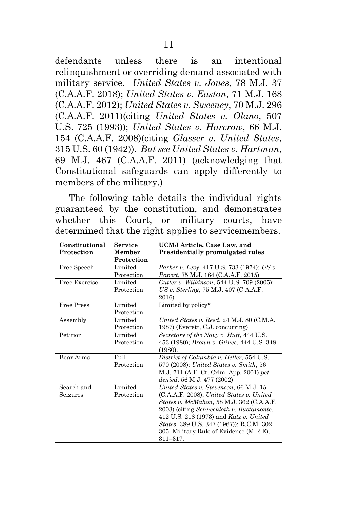defendants unless there is an intentional relinquishment or overriding demand associated with military service. *United States v. Jones*, 78 M.J. 37 (C.A.A.F. 2018); *United States v. Easton*, 71 M.J. 168 (C.A.A.F. 2012); *United States v. Sweeney*, 70 M.J. 296 (C.A.A.F. 2011)(citing *United States v. Olano*, 507 U.S. 725 (1993)); *United States v. Harcrow*, 66 M.J. 154 (C.A.A.F. 2008)(citing *Glasser v. United States*, 315 U.S. 60 (1942)). *But see United States v. Hartman*, 69 M.J. 467 (C.A.A.F. 2011) (acknowledging that Constitutional safeguards can apply differently to members of the military.)

The following table details the individual rights guaranteed by the constitution, and demonstrates whether this Court, or military courts, have determined that the right applies to servicemembers.

| Constitutional    | Service    | UCMJ Article, Case Law, and                       |
|-------------------|------------|---------------------------------------------------|
| Protection        | Member     | <b>Presidentially promulgated rules</b>           |
|                   | Protection |                                                   |
| Free Speech       | Limited    | Parker v. Levy, 417 U.S. 733 (1974); US v.        |
|                   | Protection | Rapert, 75 M.J. 164 (C.A.A.F. 2015)               |
| Free Exercise     | Limited    | <i>Cutter v. Wilkinson, 544 U.S. 709 (2005);</i>  |
|                   | Protection | $US v$ . Sterling, 75 M.J. 407 (C.A.A.F.          |
|                   |            | 2016)                                             |
| <b>Free Press</b> | Limited    | Limited by policy*                                |
|                   | Protection |                                                   |
| Assembly          | Limited    | United States v. Reed, 24 M.J. 80 (C.M.A.         |
|                   | Protection | 1987) (Everett, C.J. concurring).                 |
| Petition          | Limited    | Secretary of the Navy v. Huff, 444 U.S.           |
|                   | Protection | 453 (1980); <i>Brown v. Glines</i> , 444 U.S. 348 |
|                   |            | (1980).                                           |
| Bear Arms         | $FU$ ll    | District of Columbia v. Heller, 554 U.S.          |
|                   | Protection | 570 (2008); United States v. Smith, 56            |
|                   |            | M.J. 711 (A.F. Ct. Crim. App. 2001) pet.          |
|                   |            | denied, 56 M.J. 477 (2002)                        |
| Search and        | Limited    | United States v. Stevenson, 66 M.J. 15            |
| Seizures          | Protection | (C.A.A.F. 2008); United States v. United          |
|                   |            | <i>States v. McMahon, 58 M.J. 362 (C.A.A.F.</i>   |
|                   |            | 2003) (citing <i>Schneckloth v. Bustamonte</i> ,  |
|                   |            | 412 U.S. 218 (1973) and Katz v. United            |
|                   |            | States, 389 U.S. 347 (1967)); R.C.M. 302-         |
|                   |            | 305; Military Rule of Evidence (M.R.E).           |
|                   |            | $311 - 317.$                                      |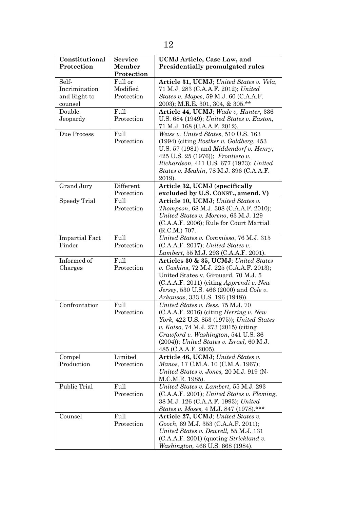| Constitutional        | Service    | <b>UCMJ</b> Article, Case Law, and                     |
|-----------------------|------------|--------------------------------------------------------|
| Protection            | Member     | Presidentially promulgated rules                       |
|                       | Protection |                                                        |
| Self-                 | Full or    | Article 31, UCMJ; United States v. Vela,               |
| Incrimination         | Modified   | 71 M.J. 283 (C.A.A.F. 2012); United                    |
| and Right to          | Protection | States v. Mapes, 59 M.J. 60 (C.A.A.F.                  |
| counsel               |            | 2003); M.R.E. 301, 304, & 305.**                       |
| Double                | Full       | Article 44, UCMJ; Wade v. Hunter, 336                  |
| Jeopardy              | Protection | U.S. $684$ (1949); United States v. Easton,            |
|                       |            | 71 M.J. 168 (C.A.A.F. 2012).                           |
| Due Process           | Full       | Weiss v. United States, 510 U.S. 163                   |
|                       | Protection | $(1994)$ (citing Rostker v. Goldberg, 453)             |
|                       |            | U.S. $57$ (1981) and <i>Middendorf v. Henry</i> ,      |
|                       |            | 425 U.S. 25 (1976)); <i>Frontiero v.</i>               |
|                       |            | Richardson, 411 U.S. 677 (1973); United                |
|                       |            | States v. Meakin, 78 M.J. 396 (C.A.A.F.                |
|                       |            | 2019).                                                 |
| Grand Jury            | Different  | Article 32, UCMJ (specifically                         |
|                       | Protection | excluded by U.S. CONST., amend. V)                     |
| Speedy Trial          | Full       | Article 10, UCMJ; United States v.                     |
|                       | Protection | Thompson, 68 M.J. 308 (C.A.A.F. 2010);                 |
|                       |            | United States v. Moreno, 63 M.J. 129                   |
|                       |            | (C.A.A.F. 2006); Rule for Court Martial                |
|                       |            | (R.C.M.) 707.                                          |
| <b>Impartial Fact</b> | Full       | United States v. Commisso, 76 M.J. 315                 |
| Finder                | Protection | (C.A.A.F. 2017); United States v.                      |
|                       |            | Lambert, 55 M.J. 293 (C.A.A.F. 2001).                  |
| Informed of           | Full       | Articles 30 & 35, UCMJ; United States                  |
| Charges               | Protection | v. Gaskins, 72 M.J. 225 (C.A.A.F. 2013);               |
|                       |            | United States v. Girouard, 70 M.J. 5                   |
|                       |            | $(C.A.A.F. 2011)$ (citing <i>Apprendi v. New</i>       |
|                       |            | <i>Jersey</i> , 530 U.S. 466 (2000) and <i>Cole v.</i> |
|                       |            | Arkansas, 333 U.S. 196 (1948)).                        |
| Confrontation         | Full       | United States v. Bess, 75 M.J. 70                      |
|                       | Protection | $(C.A.A.F. 2016)$ (citing <i>Herring v. New</i>        |
|                       |            | York, 422 U.S. 853 (1975)); United States              |
|                       |            | v. Katso, 74 M.J. 273 (2015) (citing                   |
|                       |            | Crawford v. Washington, 541 U.S. 36                    |
|                       |            | $(2004)$ ; United States v. Israel, 60 M.J.            |
|                       |            | 485 (C.A.A.F. 2005).                                   |
| Compel                | Limited    | Article 46, UCMJ; United States v.                     |
| Production            | Protection | Manos, 17 C.M.A. 10 (C.M.A. 1967);                     |
|                       |            | United States v. Jones, 20 M.J. 919 (N-                |
|                       |            | M.C.M.R. 1985).                                        |
| Public Trial          | Full       | United States v. Lambert, 55 M.J. 293                  |
|                       | Protection | (C.A.A.F. 2001); United States v. Fleming,             |
|                       |            | 38 M.J. 126 (C.A.A.F. 1993); United                    |
|                       |            | States v. Moses, 4 M.J. 847 (1978).***                 |
| Counsel               | Full       | Article 27, UCMJ; United States v.                     |
|                       | Protection | Gooch, 69 M.J. 353 (C.A.A.F. 2011);                    |
|                       |            | United States v. Dewrell, 55 M.J. 131                  |
|                       |            | (C.A.A.F. 2001) (quoting Strickland v.                 |
|                       |            | Washington, 466 U.S. 668 (1984).                       |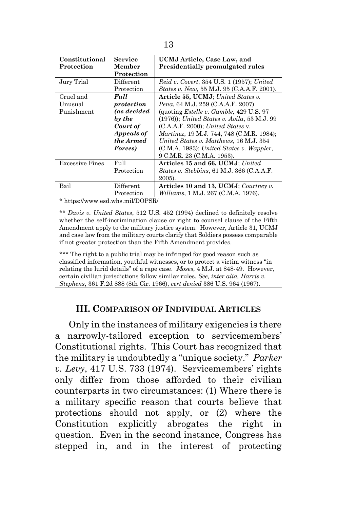| Constitutional   | <b>Service</b>             | UCMJ Article, Case Law, and                       |
|------------------|----------------------------|---------------------------------------------------|
| Protection       | Member                     | <b>Presidentially promulgated rules</b>           |
|                  | Protection                 |                                                   |
| Jury Trial       | Different                  | <i>Reid v. Covert, 354 U.S. 1 (1957); United</i>  |
|                  | Protection                 | <i>States v. New,</i> 55 M.J. 95 (C.A.A.F. 2001). |
| Cruel and        | Full                       | Article 55, UCMJ; United States v.                |
| Unusual          | protection                 | Pena, 64 M.J. 259 (C.A.A.F. 2007)                 |
| Punishment       | (as decided                | (quoting <i>Estelle v. Gamble, 429 U.S. 97</i> )  |
|                  | by the                     | $(1976)$ ; United States v. Avila, 53 M.J. 99     |
|                  | Court of                   | (C.A.A.F. 2000); United States v.                 |
|                  | Appeals of                 | <i>Martinez</i> , 19 M.J. 744, 748 (C.M.R. 1984); |
|                  | the Armed                  | United States v. Matthews, 16 M.J. 354            |
|                  | Forces)                    | $(C.M.A. 1983)$ ; United States v. Wappler,       |
|                  |                            | 9 C.M.R. 23 (C.M.A. 1953).                        |
| Excessive Fines  | Full                       | Articles 15 and 66, UCMJ; United                  |
|                  | Protection                 | States v. Stebbins, 61 M.J. 366 (C.A.A.F.         |
|                  |                            | 2005).                                            |
| Bail             | $\operatorname{Different}$ | Articles 10 and 13, UCMJ; Courtney v.             |
|                  | Protection                 | <i>Williams, 1 M.J. 267 (C.M.A. 1976).</i>        |
| <b>d</b> 1 ii 11 | 1/DAOM                     |                                                   |

https://www.esd.whs.mil/DOPSR/

\*\* *Davis v. United States*, 512 U.S. 452 (1994) declined to definitely resolve whether the self-incrimination clause or right to counsel clause of the Fifth Amendment apply to the military justice system. However, Article 31, UCMJ and case law from the military courts clarify that Soldiers possess comparable if not greater protection than the Fifth Amendment provides.

\*\*\* The right to a public trial may be infringed for good reason such as classified information, youthful witnesses, or to protect a victim witness "in relating the lurid details" of a rape case. *Moses*, 4 M.J. at 848-49. However, certain civilian jurisdictions follow similar rules. *See, inter alia, Harris v. Stephens*, 361 F.2d 888 (8th Cir. 1966), *cert denied* 386 U.S. 964 (1967).

#### **III. COMPARISON OF INDIVIDUAL ARTICLES**

<span id="page-19-0"></span>Only in the instances of military exigencies is there a narrowly-tailored exception to servicemembers' Constitutional rights. This Court has recognized that the military is undoubtedly a "unique society." *Parker v. Levy*, 417 U.S. 733 (1974). Servicemembers' rights only differ from those afforded to their civilian counterparts in two circumstances: (1) Where there is a military specific reason that courts believe that protections should not apply, or (2) where the Constitution explicitly abrogates the right in question. Even in the second instance, Congress has stepped in, and in the interest of protecting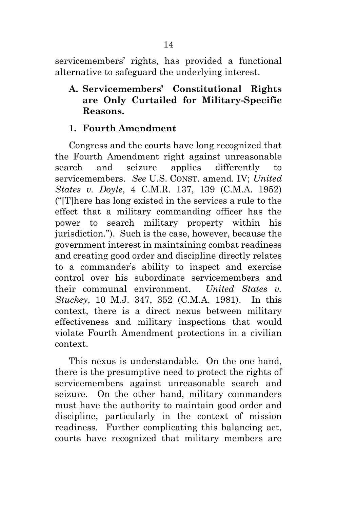servicemembers' rights, has provided a functional alternative to safeguard the underlying interest.

<span id="page-20-0"></span>**A. Servicemembers' Constitutional Rights are Only Curtailed for Military-Specific Reasons.**

### <span id="page-20-1"></span>**1. Fourth Amendment**

Congress and the courts have long recognized that the Fourth Amendment right against unreasonable search and seizure applies differently to servicemembers. *See* U.S. CONST. amend. IV; *United States v. Doyle*, 4 C.M.R. 137, 139 (C.M.A. 1952) ("[T]here has long existed in the services a rule to the effect that a military commanding officer has the power to search military property within his jurisdiction."). Such is the case, however, because the government interest in maintaining combat readiness and creating good order and discipline directly relates to a commander's ability to inspect and exercise control over his subordinate servicemembers and their communal environment. *United States v. Stuckey*, 10 M.J. 347, 352 (C.M.A. 1981). In this context, there is a direct nexus between military effectiveness and military inspections that would violate Fourth Amendment protections in a civilian context.

This nexus is understandable. On the one hand, there is the presumptive need to protect the rights of servicemembers against unreasonable search and seizure. On the other hand, military commanders must have the authority to maintain good order and discipline, particularly in the context of mission readiness. Further complicating this balancing act, courts have recognized that military members are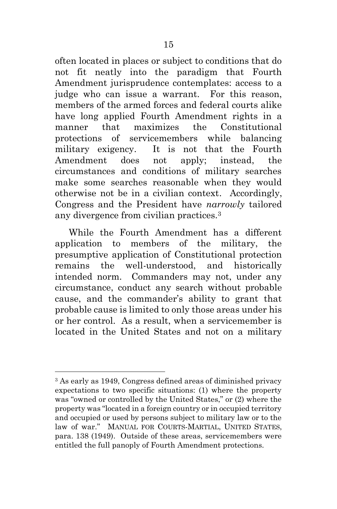often located in places or subject to conditions that do not fit neatly into the paradigm that Fourth Amendment jurisprudence contemplates: access to a judge who can issue a warrant. For this reason, members of the armed forces and federal courts alike have long applied Fourth Amendment rights in a manner that maximizes the Constitutional protections of servicemembers while balancing military exigency. It is not that the Fourth Amendment does not apply; instead, the circumstances and conditions of military searches make some searches reasonable when they would otherwise not be in a civilian context. Accordingly, Congress and the President have *narrowly* tailored any divergence from civilian practices.<sup>3</sup>

While the Fourth Amendment has a different application to members of the military, the presumptive application of Constitutional protection remains the well-understood, and historically intended norm. Commanders may not, under any circumstance, conduct any search without probable cause, and the commander's ability to grant that probable cause is limited to only those areas under his or her control. As a result, when a servicemember is located in the United States and not on a military

<sup>3</sup> As early as 1949, Congress defined areas of diminished privacy expectations to two specific situations: (1) where the property was "owned or controlled by the United States," or (2) where the property was "located in a foreign country or in occupied territory and occupied or used by persons subject to military law or to the law of war." MANUAL FOR COURTS-MARTIAL, UNITED STATES, para. 138 (1949). Outside of these areas, servicemembers were entitled the full panoply of Fourth Amendment protections.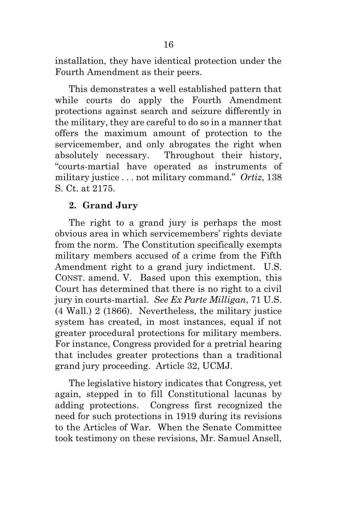installation, they have identical protection under the Fourth Amendment as their peers.

This demonstrates a well established pattern that while courts do apply the Fourth Amendment protections against search and seizure differently in the military, they are careful to do so in a manner that offers the maximum amount of protection to the servicemember, and only abrogates the right when absolutely necessary. Throughout their history, "courts-martial have operated as instruments of military justice . . . not military command." *Ortiz*, 138 S. Ct. at 2175.

## <span id="page-22-0"></span>**2. Grand Jury**

The right to a grand jury is perhaps the most obvious area in which servicemembers' rights deviate from the norm. The Constitution specifically exempts military members accused of a crime from the Fifth Amendment right to a grand jury indictment. U.S. CONST. amend. V. Based upon this exemption, this Court has determined that there is no right to a civil jury in courts-martial. *See Ex Parte Milligan*, 71 U.S. (4 Wall.) 2 (1866). Nevertheless, the military justice system has created, in most instances, equal if not greater procedural protections for military members. For instance, Congress provided for a pretrial hearing that includes greater protections than a traditional grand jury proceeding. Article 32, UCMJ.

The legislative history indicates that Congress, yet again, stepped in to fill Constitutional lacunas by adding protections. Congress first recognized the need for such protections in 1919 during its revisions to the Articles of War. When the Senate Committee took testimony on these revisions, Mr. Samuel Ansell,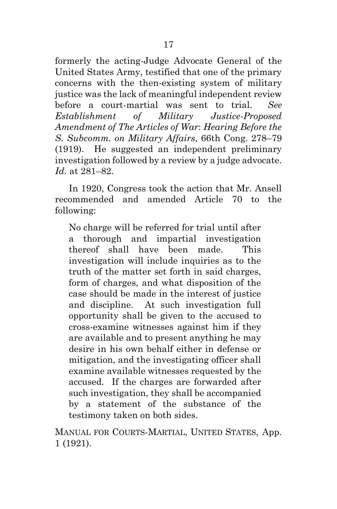formerly the acting-Judge Advocate General of the United States Army, testified that one of the primary concerns with the then-existing system of military justice was the lack of meaningful independent review before a court-martial was sent to trial. *See Establishment of Military Justice-Proposed Amendment of The Articles of War*: *Hearing Before the S. Subcomm. on Military Affairs*, 66th Cong. 278–79 (1919). He suggested an independent preliminary investigation followed by a review by a judge advocate. *Id.* at 281–82.

In 1920, Congress took the action that Mr. Ansell recommended and amended Article 70 to the following:

No charge will be referred for trial until after a thorough and impartial investigation thereof shall have been made. This investigation will include inquiries as to the truth of the matter set forth in said charges, form of charges, and what disposition of the case should be made in the interest of justice and discipline. At such investigation full opportunity shall be given to the accused to cross-examine witnesses against him if they are available and to present anything he may desire in his own behalf either in defense or mitigation, and the investigating officer shall examine available witnesses requested by the accused. If the charges are forwarded after such investigation, they shall be accompanied by a statement of the substance of the testimony taken on both sides.

MANUAL FOR COURTS-MARTIAL, UNITED STATES, App. 1 (1921).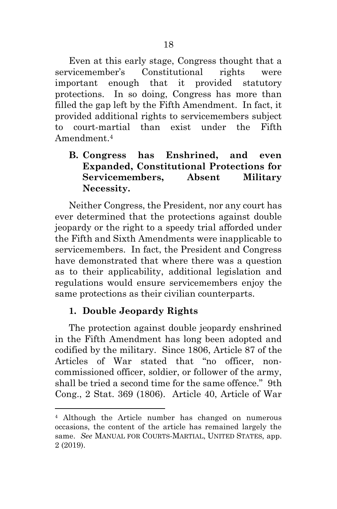Even at this early stage, Congress thought that a servicemember's Constitutional rights were important enough that it provided statutory protections. In so doing, Congress has more than filled the gap left by the Fifth Amendment. In fact, it provided additional rights to servicemembers subject to court-martial than exist under the Fifth Amendment. 4

## <span id="page-24-0"></span>**B. Congress has Enshrined, and even Expanded, Constitutional Protections for Servicemembers, Absent Military Necessity.**

Neither Congress, the President, nor any court has ever determined that the protections against double jeopardy or the right to a speedy trial afforded under the Fifth and Sixth Amendments were inapplicable to servicemembers. In fact, the President and Congress have demonstrated that where there was a question as to their applicability, additional legislation and regulations would ensure servicemembers enjoy the same protections as their civilian counterparts.

## <span id="page-24-1"></span>**1. Double Jeopardy Rights**

 $\overline{a}$ 

The protection against double jeopardy enshrined in the Fifth Amendment has long been adopted and codified by the military. Since 1806, Article 87 of the Articles of War stated that "no officer, noncommissioned officer, soldier, or follower of the army, shall be tried a second time for the same offence." 9th Cong., 2 Stat. 369 (1806). Article 40, Article of War

<sup>4</sup> Although the Article number has changed on numerous occasions, the content of the article has remained largely the same. *See* MANUAL FOR COURTS-MARTIAL, UNITED STATES, app. 2 (2019).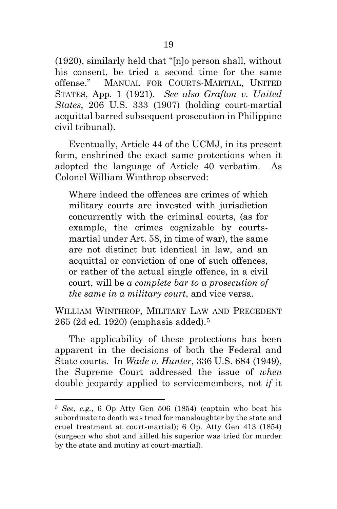(1920), similarly held that "[n]o person shall, without his consent, be tried a second time for the same offense." MANUAL FOR COURTS-MARTIAL, UNITED STATES, App. 1 (1921). *See also Grafton v. United States*, 206 U.S. 333 (1907) (holding court-martial acquittal barred subsequent prosecution in Philippine civil tribunal).

Eventually, Article 44 of the UCMJ, in its present form, enshrined the exact same protections when it adopted the language of Article 40 verbatim. As Colonel William Winthrop observed:

Where indeed the offences are crimes of which military courts are invested with jurisdiction concurrently with the criminal courts, (as for example, the crimes cognizable by courtsmartial under Art. 58, in time of war), the same are not distinct but identical in law, and an acquittal or conviction of one of such offences, or rather of the actual single offence, in a civil court, will be *a complete bar to a prosecution of the same in a military court*, and vice versa.

WILLIAM WINTHROP, MILITARY LAW AND PRECEDENT 265 (2d ed. 1920) (emphasis added).<sup>5</sup>

The applicability of these protections has been apparent in the decisions of both the Federal and State courts. In *Wade v. Hunter*, 336 U.S. 684 (1949), the Supreme Court addressed the issue of *when* double jeopardy applied to servicemembers, not *if* it

 $\overline{a}$ 

<sup>5</sup> *See*, *e.g.*, 6 Op Atty Gen 506 (1854) (captain who beat his subordinate to death was tried for manslaughter by the state and cruel treatment at court-martial); 6 Op. Atty Gen 413 (1854) (surgeon who shot and killed his superior was tried for murder by the state and mutiny at court-martial).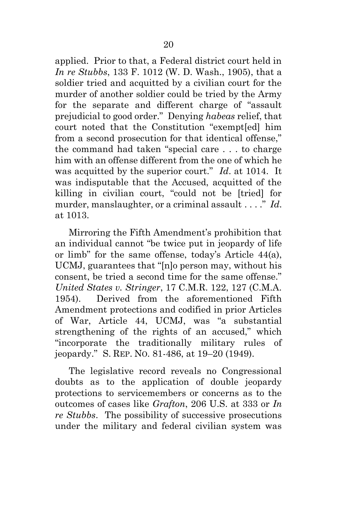applied. Prior to that, a Federal district court held in *In re Stubbs*, 133 F. 1012 (W. D. Wash., 1905), that a soldier tried and acquitted by a civilian court for the murder of another soldier could be tried by the Army for the separate and different charge of "assault prejudicial to good order." Denying *habeas* relief, that court noted that the Constitution "exempt[ed] him from a second prosecution for that identical offense," the command had taken "special care . . . to charge him with an offense different from the one of which he was acquitted by the superior court." *Id*. at 1014. It was indisputable that the Accused, acquitted of the killing in civilian court, "could not be [tried] for murder, manslaughter, or a criminal assault . . . ." *Id*. at 1013.

Mirroring the Fifth Amendment's prohibition that an individual cannot "be twice put in jeopardy of life or limb" for the same offense, today's Article 44(a), UCMJ, guarantees that "[n]o person may, without his consent, be tried a second time for the same offense." *United States v. Stringer*, 17 C.M.R. 122, 127 (C.M.A. 1954). Derived from the aforementioned Fifth Amendment protections and codified in prior Articles of War, Article 44, UCMJ, was "a substantial strengthening of the rights of an accused," which "incorporate the traditionally military rules of jeopardy." S. REP. NO. 81-486, at 19–20 (1949).

The legislative record reveals no Congressional doubts as to the application of double jeopardy protections to servicemembers or concerns as to the outcomes of cases like *Grafton*, 206 U.S. at 333 or *In re Stubbs*. The possibility of successive prosecutions under the military and federal civilian system was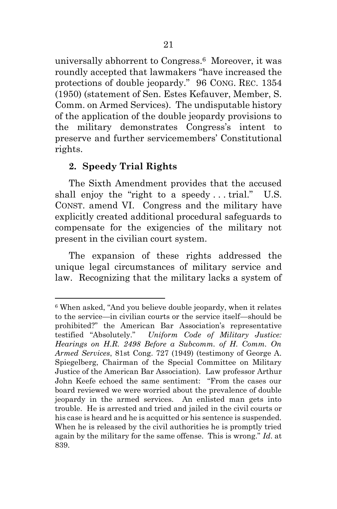universally abhorrent to Congress. <sup>6</sup> Moreover, it was roundly accepted that lawmakers "have increased the protections of double jeopardy." 96 CONG. REC. 1354 (1950) (statement of Sen. Estes Kefauver, Member, S. Comm. on Armed Services). The undisputable history of the application of the double jeopardy provisions to the military demonstrates Congress's intent to preserve and further servicemembers' Constitutional rights.

## <span id="page-27-0"></span>**2. Speedy Trial Rights**

l

The Sixth Amendment provides that the accused shall enjoy the "right to a speedy . . . trial." U.S. CONST. amend VI. Congress and the military have explicitly created additional procedural safeguards to compensate for the exigencies of the military not present in the civilian court system.

The expansion of these rights addressed the unique legal circumstances of military service and law. Recognizing that the military lacks a system of

<sup>6</sup> When asked, "And you believe double jeopardy, when it relates to the service—in civilian courts or the service itself—should be prohibited?" the American Bar Association's representative testified "Absolutely." *Uniform Code of Military Justice: Hearings on H.R. 2498 Before a Subcomm. of H. Comm. On Armed Services*, 81st Cong. 727 (1949) (testimony of George A. Spiegelberg, Chairman of the Special Committee on Military Justice of the American Bar Association). Law professor Arthur John Keefe echoed the same sentiment: "From the cases our board reviewed we were worried about the prevalence of double jeopardy in the armed services. An enlisted man gets into trouble. He is arrested and tried and jailed in the civil courts or his case is heard and he is acquitted or his sentence is suspended. When he is released by the civil authorities he is promptly tried again by the military for the same offense. This is wrong." *Id*. at 839.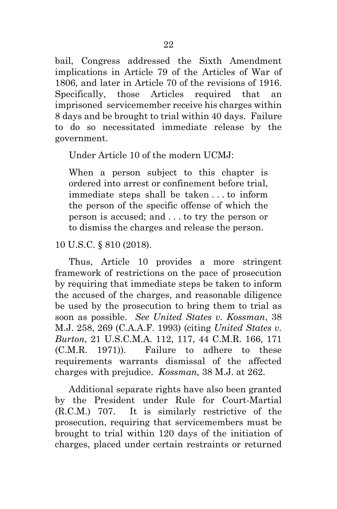bail, Congress addressed the Sixth Amendment implications in Article 79 of the Articles of War of 1806, and later in Article 70 of the revisions of 1916. Specifically, those Articles required that an imprisoned servicemember receive his charges within 8 days and be brought to trial within 40 days. Failure to do so necessitated immediate release by the government.

Under Article 10 of the modern UCMJ:

When a person subject to this chapter is ordered into arrest or confinement before trial, immediate steps shall be taken . . . to inform the person of the specific offense of which the person is accused; and . . . to try the person or to dismiss the charges and release the person.

10 U.S.C. § 810 (2018).

Thus, Article 10 provides a more stringent framework of restrictions on the pace of prosecution by requiring that immediate steps be taken to inform the accused of the charges, and reasonable diligence be used by the prosecution to bring them to trial as soon as possible. *See United States v. Kossman*, 38 M.J. 258, 269 (C.A.A.F. 1993) (citing *United States v. Burton*, 21 U.S.C.M.A. 112, 117, 44 C.M.R. 166, 171 (C.M.R. 1971)). Failure to adhere to these requirements warrants dismissal of the affected charges with prejudice. *Kossman,* 38 M.J. at 262.

Additional separate rights have also been granted by the President under Rule for Court-Martial (R.C.M.) 707. It is similarly restrictive of the prosecution, requiring that servicemembers must be brought to trial within 120 days of the initiation of charges, placed under certain restraints or returned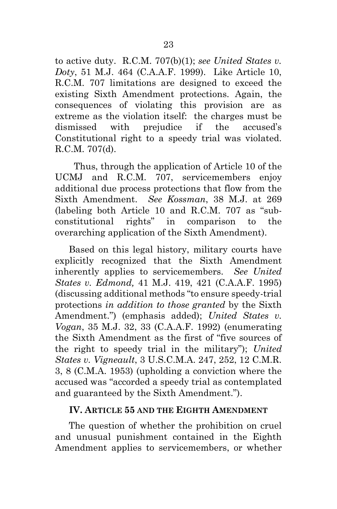to active duty. R.C.M. 707(b)(1); *see United States v. Doty*, 51 M.J. 464 (C.A.A.F. 1999). Like Article 10, R.C.M. 707 limitations are designed to exceed the existing Sixth Amendment protections. Again, the consequences of violating this provision are as extreme as the violation itself: the charges must be dismissed with prejudice if the accused's Constitutional right to a speedy trial was violated. R.C.M. 707(d).

 Thus, through the application of Article 10 of the UCMJ and R.C.M. 707, servicemembers enjoy additional due process protections that flow from the Sixth Amendment. *See Kossman*, 38 M.J. at 269 (labeling both Article 10 and R.C.M. 707 as "subconstitutional rights" in comparison to the overarching application of the Sixth Amendment).

Based on this legal history, military courts have explicitly recognized that the Sixth Amendment inherently applies to servicemembers. *See United States v. Edmond,* 41 M.J. 419, 421 (C.A.A.F. 1995) (discussing additional methods "to ensure speedy-trial protections *in addition to those granted* by the Sixth Amendment.") (emphasis added); *United States v. Vogan*, 35 M.J. 32, 33 (C.A.A.F. 1992) (enumerating the Sixth Amendment as the first of "five sources of the right to speedy trial in the military"); *United States v. Vigneault*, 3 U.S.C.M.A. 247, 252, 12 C.M.R. 3, 8 (C.M.A. 1953) (upholding a conviction where the accused was "accorded a speedy trial as contemplated and guaranteed by the Sixth Amendment.").

#### <span id="page-29-0"></span>**IV. ARTICLE 55 AND THE EIGHTH AMENDMENT**

The question of whether the prohibition on cruel and unusual punishment contained in the Eighth Amendment applies to servicemembers, or whether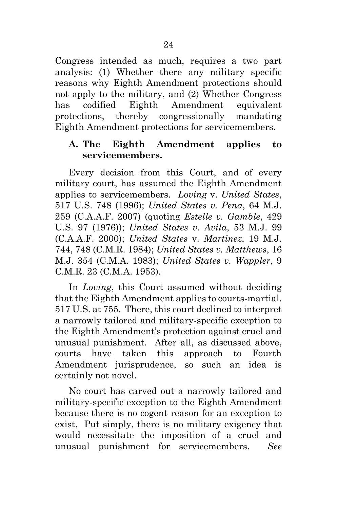Congress intended as much, requires a two part analysis: (1) Whether there any military specific reasons why Eighth Amendment protections should not apply to the military, and (2) Whether Congress has codified Eighth Amendment equivalent protections, thereby congressionally mandating Eighth Amendment protections for servicemembers.

#### <span id="page-30-0"></span>**A. The Eighth Amendment applies to servicemembers.**

Every decision from this Court, and of every military court, has assumed the Eighth Amendment applies to servicemembers. *Loving* v. *United States*, 517 U.S. 748 (1996); *United States v. Pena*, 64 M.J. 259 (C.A.A.F. 2007) (quoting *Estelle v. Gamble*, 429 U.S. 97 (1976)); *United States v. Avila*, 53 M.J. 99 (C.A.A.F. 2000); *United States* v. *Martinez*, 19 M.J. 744, 748 (C.M.R. 1984); *United States v. Matthews*, 16 M.J. 354 (C.M.A. 1983); *United States v. Wappler*, 9 C.M.R. 23 (C.M.A. 1953).

In *Loving*, this Court assumed without deciding that the Eighth Amendment applies to courts-martial. 517 U.S. at 755. There, this court declined to interpret a narrowly tailored and military-specific exception to the Eighth Amendment's protection against cruel and unusual punishment. After all, as discussed above, courts have taken this approach to Fourth Amendment jurisprudence, so such an idea is certainly not novel.

No court has carved out a narrowly tailored and military-specific exception to the Eighth Amendment because there is no cogent reason for an exception to exist. Put simply, there is no military exigency that would necessitate the imposition of a cruel and unusual punishment for servicemembers. *See*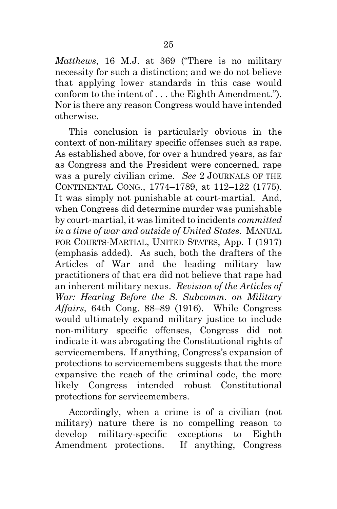*Matthews*, 16 M.J. at 369 ("There is no military necessity for such a distinction; and we do not believe that applying lower standards in this case would conform to the intent of . . . the Eighth Amendment."). Nor is there any reason Congress would have intended otherwise.

This conclusion is particularly obvious in the context of non-military specific offenses such as rape. As established above, for over a hundred years, as far as Congress and the President were concerned, rape was a purely civilian crime. *See* 2 JOURNALS OF THE CONTINENTAL CONG., 1774–1789, at 112–122 (1775). It was simply not punishable at court-martial. And, when Congress did determine murder was punishable by court-martial, it was limited to incidents *committed in a time of war and outside of United States*. MANUAL FOR COURTS-MARTIAL, UNITED STATES, App. I (1917) (emphasis added). As such, both the drafters of the Articles of War and the leading military law practitioners of that era did not believe that rape had an inherent military nexus. *Revision of the Articles of War: Hearing Before the S. Subcomm. on Military Affairs*, 64th Cong. 88–89 (1916). While Congress would ultimately expand military justice to include non-military specific offenses, Congress did not indicate it was abrogating the Constitutional rights of servicemembers. If anything, Congress's expansion of protections to servicemembers suggests that the more expansive the reach of the criminal code, the more likely Congress intended robust Constitutional protections for servicemembers.

Accordingly, when a crime is of a civilian (not military) nature there is no compelling reason to develop military-specific exceptions to Eighth Amendment protections. If anything, Congress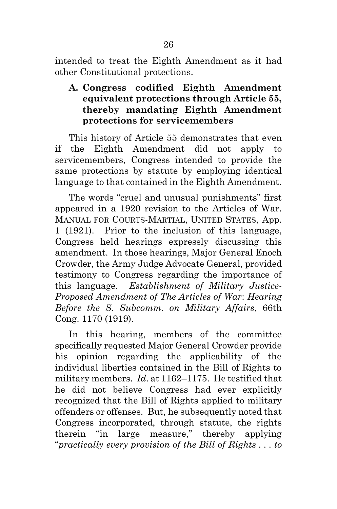intended to treat the Eighth Amendment as it had other Constitutional protections.

## <span id="page-32-0"></span>**A. Congress codified Eighth Amendment equivalent protections through Article 55, thereby mandating Eighth Amendment protections for servicemembers**

This history of Article 55 demonstrates that even if the Eighth Amendment did not apply to servicemembers, Congress intended to provide the same protections by statute by employing identical language to that contained in the Eighth Amendment.

The words "cruel and unusual punishments" first appeared in a 1920 revision to the Articles of War. MANUAL FOR COURTS-MARTIAL, UNITED STATES, App. 1 (1921). Prior to the inclusion of this language, Congress held hearings expressly discussing this amendment. In those hearings, Major General Enoch Crowder, the Army Judge Advocate General, provided testimony to Congress regarding the importance of this language. *Establishment of Military Justice-Proposed Amendment of The Articles of War*: *Hearing Before the S. Subcomm. on Military Affairs*, 66th Cong. 1170 (1919).

In this hearing, members of the committee specifically requested Major General Crowder provide his opinion regarding the applicability of the individual liberties contained in the Bill of Rights to military members. *Id*. at 1162–1175. He testified that he did not believe Congress had ever explicitly recognized that the Bill of Rights applied to military offenders or offenses. But, he subsequently noted that Congress incorporated, through statute, the rights therein "in large measure," thereby applying "*practically every provision of the Bill of Rights . . . to*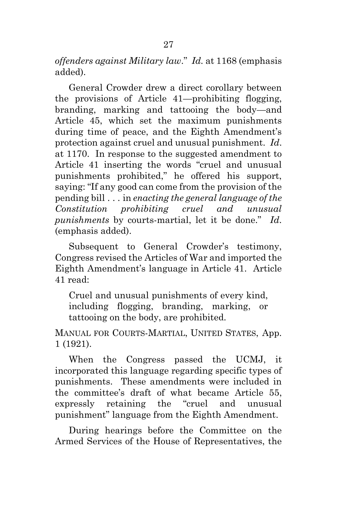*offenders against Military law*." *Id.* at 1168 (emphasis added).

General Crowder drew a direct corollary between the provisions of Article 41—prohibiting flogging, branding, marking and tattooing the body—and Article 45, which set the maximum punishments during time of peace, and the Eighth Amendment's protection against cruel and unusual punishment. *Id*. at 1170.In response to the suggested amendment to Article 41 inserting the words "cruel and unusual punishments prohibited," he offered his support, saying: "If any good can come from the provision of the pending bill . . . in *enacting the general language of the Constitution prohibiting cruel and unusual punishments* by courts-martial, let it be done." *Id*. (emphasis added).

Subsequent to General Crowder's testimony, Congress revised the Articles of War and imported the Eighth Amendment's language in Article 41. Article 41 read:

Cruel and unusual punishments of every kind, including flogging, branding, marking, or tattooing on the body, are prohibited.

MANUAL FOR COURTS-MARTIAL, UNITED STATES, App. 1 (1921).

When the Congress passed the UCMJ, it incorporated this language regarding specific types of punishments. These amendments were included in the committee's draft of what became Article 55, expressly retaining the "cruel and unusual punishment" language from the Eighth Amendment.

During hearings before the Committee on the Armed Services of the House of Representatives, the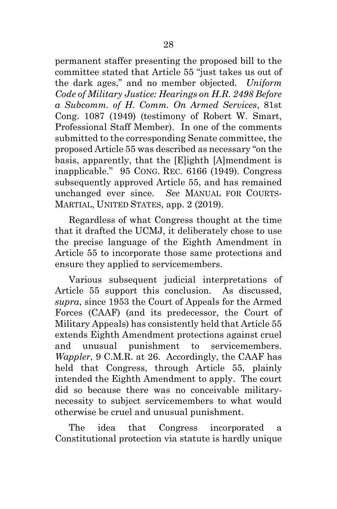permanent staffer presenting the proposed bill to the committee stated that Article 55 "just takes us out of the dark ages," and no member objected. *Uniform Code of Military Justice: Hearings on H.R. 2498 Before a Subcomm. of H. Comm. On Armed Services*, 81st Cong. 1087 (1949) (testimony of Robert W. Smart, Professional Staff Member). In one of the comments submitted to the corresponding Senate committee, the proposed Article 55 was described as necessary "on the basis, apparently, that the [E]ighth [A]mendment is inapplicable." 95 CONG. REC. 6166 (1949). Congress subsequently approved Article 55, and has remained unchanged ever since. *See* MANUAL FOR COURTS-MARTIAL, UNITED STATES, app. 2 (2019).

Regardless of what Congress thought at the time that it drafted the UCMJ, it deliberately chose to use the precise language of the Eighth Amendment in Article 55 to incorporate those same protections and ensure they applied to servicemembers.

Various subsequent judicial interpretations of Article 55 support this conclusion. As discussed, *supra*, since 1953 the Court of Appeals for the Armed Forces (CAAF) (and its predecessor, the Court of Military Appeals) has consistently held that Article 55 extends Eighth Amendment protections against cruel and unusual punishment to servicemembers. *Wappler*, 9 C.M.R. at 26. Accordingly, the CAAF has held that Congress, through Article 55, plainly intended the Eighth Amendment to apply. The court did so because there was no conceivable militarynecessity to subject servicemembers to what would otherwise be cruel and unusual punishment.

The idea that Congress incorporated a Constitutional protection via statute is hardly unique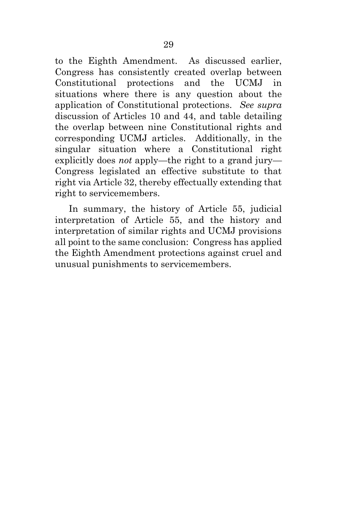to the Eighth Amendment. As discussed earlier, Congress has consistently created overlap between Constitutional protections and the UCMJ in situations where there is any question about the application of Constitutional protections. *See supra* discussion of Articles 10 and 44, and table detailing the overlap between nine Constitutional rights and corresponding UCMJ articles. Additionally, in the singular situation where a Constitutional right explicitly does *not* apply—the right to a grand jury— Congress legislated an effective substitute to that right via Article 32, thereby effectually extending that right to servicemembers.

In summary, the history of Article 55, judicial interpretation of Article 55, and the history and interpretation of similar rights and UCMJ provisions all point to the same conclusion: Congress has applied the Eighth Amendment protections against cruel and unusual punishments to servicemembers.